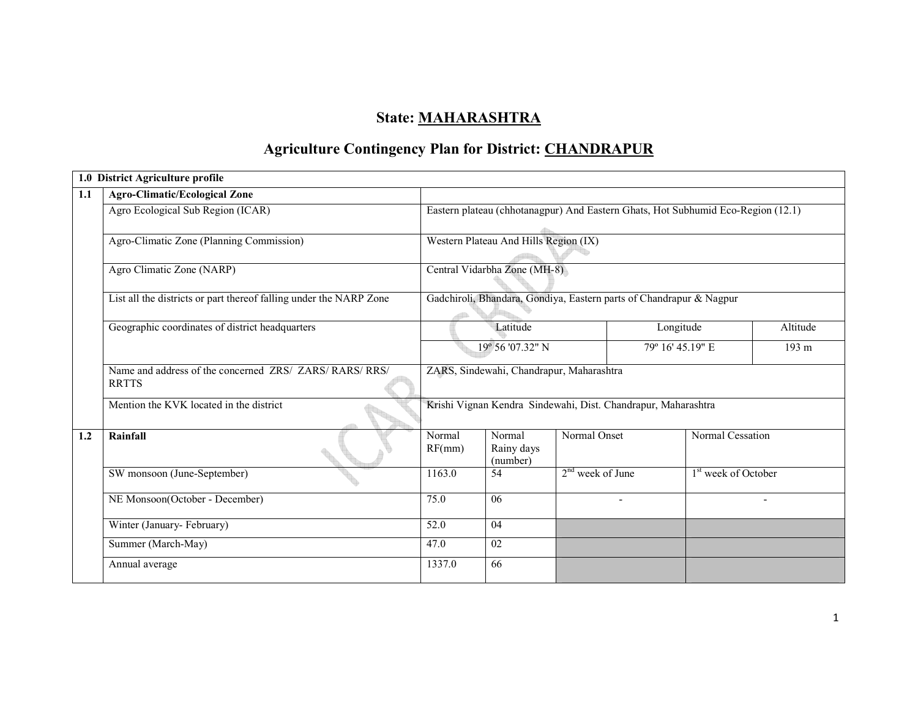## State: MAHARASHTRA

# Agriculture Contingency Plan for District: CHANDRAPUR

|     | 1.0 District Agriculture profile                                        |                                                                                  |                                       |                                                                     |                  |                                 |  |  |
|-----|-------------------------------------------------------------------------|----------------------------------------------------------------------------------|---------------------------------------|---------------------------------------------------------------------|------------------|---------------------------------|--|--|
| 1.1 | <b>Agro-Climatic/Ecological Zone</b>                                    |                                                                                  |                                       |                                                                     |                  |                                 |  |  |
|     | Agro Ecological Sub Region (ICAR)                                       | Eastern plateau (chhotanagpur) And Eastern Ghats, Hot Subhumid Eco-Region (12.1) |                                       |                                                                     |                  |                                 |  |  |
|     | Agro-Climatic Zone (Planning Commission)                                |                                                                                  | Western Plateau And Hills Region (IX) |                                                                     |                  |                                 |  |  |
|     | Agro Climatic Zone (NARP)                                               | Central Vidarbha Zone (MH-8)                                                     |                                       |                                                                     |                  |                                 |  |  |
|     | List all the districts or part thereof falling under the NARP Zone      |                                                                                  |                                       | Gadchiroli, Bhandara, Gondiya, Eastern parts of Chandrapur & Nagpur |                  |                                 |  |  |
|     | Geographic coordinates of district headquarters                         |                                                                                  | Latitude                              |                                                                     | Longitude        | Altitude                        |  |  |
|     |                                                                         |                                                                                  | 19° 56'07.32" N                       |                                                                     | 79° 16' 45.19" E |                                 |  |  |
|     | Name and address of the concerned ZRS/ ZARS/ RARS/ RRS/<br><b>RRTTS</b> |                                                                                  |                                       | ZARS, Sindewahi, Chandrapur, Maharashtra                            |                  |                                 |  |  |
|     | Mention the KVK located in the district                                 |                                                                                  |                                       | Krishi Vignan Kendra Sindewahi, Dist. Chandrapur, Maharashtra       |                  |                                 |  |  |
| 1.2 | Rainfall                                                                | Normal<br>RF(mm)                                                                 | Normal<br>Rainy days<br>(number)      | Normal Onset                                                        | Normal Cessation |                                 |  |  |
|     | SW monsoon (June-September)                                             | 1163.0                                                                           | 54                                    | $2nd$ week of June                                                  |                  | 1 <sup>st</sup> week of October |  |  |
|     | NE Monsoon(October - December)                                          |                                                                                  | 06                                    |                                                                     |                  |                                 |  |  |
|     | Winter (January-February)                                               | 52.0                                                                             | 04                                    |                                                                     |                  |                                 |  |  |
|     | Summer (March-May)                                                      | 47.0                                                                             | 02                                    |                                                                     |                  |                                 |  |  |
|     | Annual average                                                          | 1337.0                                                                           | 66                                    |                                                                     |                  |                                 |  |  |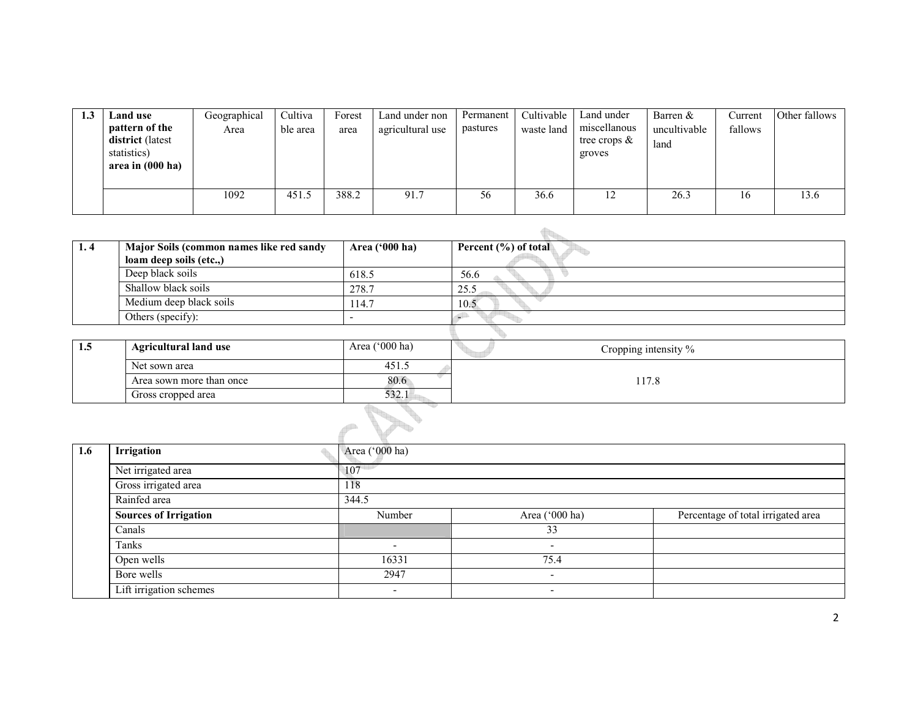| 1.3 | Land use<br>pattern of the<br>district (latest<br>statistics)<br>area in (000 ha) | Geographical<br>Area | <b>Cultiva</b><br>ble area | Forest<br>area | Land under non<br>agricultural use | Permanent<br>pastures | Cultivable<br>waste land | Land under<br>miscellanous<br>tree crops $\&$<br>groves | Barren &<br>uncultivable<br>land | Current<br>fallows | Other fallows |
|-----|-----------------------------------------------------------------------------------|----------------------|----------------------------|----------------|------------------------------------|-----------------------|--------------------------|---------------------------------------------------------|----------------------------------|--------------------|---------------|
|     |                                                                                   | 1092                 | 451.5                      | 388.2          | 91.7                               | 56                    | 36.6                     | 12                                                      | 26.3                             | 16                 | 13.6          |

| 1.4 | Major Soils (common names like red sandy | Area ('000 ha) | Percent (%) of total |
|-----|------------------------------------------|----------------|----------------------|
|     | loam deep soils (etc.,)                  |                |                      |
|     | Deep black soils                         | 618.5          | 56.6                 |
|     | Shallow black soils                      | 278.7          | 25.5                 |
|     | Medium deep black soils                  | 114.7          | 10.5                 |
|     | Others (specify):                        |                |                      |
|     |                                          |                |                      |
| 1.5 | <b>Agricultural land use</b>             | Area ('000 ha) | Cropping intensity % |
|     | Net sown area                            | 451.5          |                      |
|     | Area sown more than once                 | 80.6           | 117.8                |
|     | Gross cropped area                       | 532.1          |                      |
|     |                                          |                |                      |

|                  |                              | -up                      |                          |                                    |
|------------------|------------------------------|--------------------------|--------------------------|------------------------------------|
| $1.6\phantom{0}$ | Irrigation                   | Area ('000 ha)           |                          |                                    |
|                  | Net irrigated area           | 107                      |                          |                                    |
|                  | Gross irrigated area         | 118                      |                          |                                    |
|                  | Rainfed area                 | 344.5                    |                          |                                    |
|                  | <b>Sources of Irrigation</b> | Number                   | Area ('000 ha)           | Percentage of total irrigated area |
|                  | Canals                       |                          | 33                       |                                    |
|                  | Tanks                        | $\overline{\phantom{a}}$ | $\overline{\phantom{a}}$ |                                    |
|                  | Open wells                   | 16331                    | 75.4                     |                                    |
|                  | Bore wells                   | 2947                     | $\overline{\phantom{a}}$ |                                    |
|                  | Lift irrigation schemes      | $\overline{\phantom{a}}$ | $\overline{\phantom{a}}$ |                                    |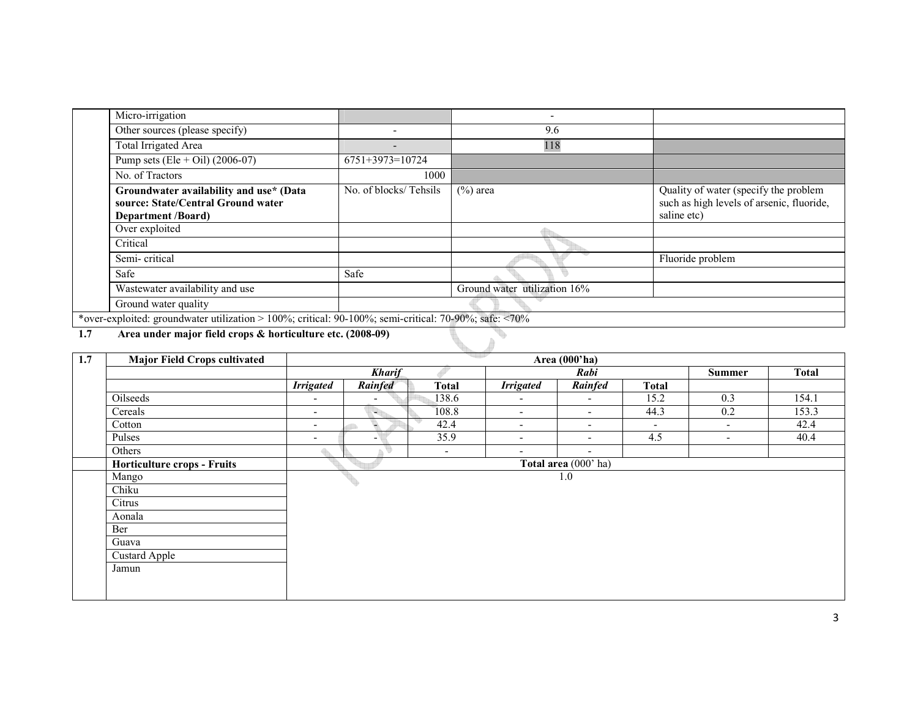| Micro-irrigation                                                                                           |                          | ٠                            |                                                                                                   |
|------------------------------------------------------------------------------------------------------------|--------------------------|------------------------------|---------------------------------------------------------------------------------------------------|
| Other sources (please specify)                                                                             |                          | 9.6                          |                                                                                                   |
| Total Irrigated Area                                                                                       | $\overline{\phantom{0}}$ | 118                          |                                                                                                   |
| Pump sets (Ele + Oil) $(2006-07)$                                                                          | $6751+3973=10724$        |                              |                                                                                                   |
| No. of Tractors                                                                                            | 1000                     |                              |                                                                                                   |
| Groundwater availability and use* (Data<br>source: State/Central Ground water<br><b>Department</b> /Board) | No. of blocks/Tehsils    | $(\%)$ area                  | Quality of water (specify the problem<br>such as high levels of arsenic, fluoride,<br>saline etc) |
| Over exploited                                                                                             |                          |                              |                                                                                                   |
| Critical                                                                                                   |                          |                              |                                                                                                   |
| Semi-critical                                                                                              |                          |                              | Fluoride problem                                                                                  |
| Safe                                                                                                       | Safe                     |                              |                                                                                                   |
| Wastewater availability and use                                                                            |                          | Ground water utilization 16% |                                                                                                   |
| Ground water quality                                                                                       |                          |                              |                                                                                                   |
| *over-exploited: groundwater utilization > 100%; critical: 90-100%; semi-critical: 70-90%; safe: <70%      |                          |                              |                                                                                                   |

1.7Area under major field crops & horticulture etc. (2008-09)

| 1.7 | <b>Major Field Crops cultivated</b> |                          | <u> 대표 조</u><br>Area (000'ha) |                          |                          |                          |                          |                          |              |
|-----|-------------------------------------|--------------------------|-------------------------------|--------------------------|--------------------------|--------------------------|--------------------------|--------------------------|--------------|
|     |                                     |                          | <b>Kharif</b>                 |                          |                          | <b>Rabi</b>              |                          | <b>Summer</b>            | <b>Total</b> |
|     |                                     | <b>Irrigated</b>         | Rainfed                       | <b>Total</b>             | <b>Irrigated</b>         | Rainfed                  | <b>Total</b>             |                          |              |
|     | Oilseeds                            | $\overline{\phantom{a}}$ | $\overline{\phantom{a}}$      | 138.6                    | $\overline{\phantom{a}}$ | $\overline{\phantom{a}}$ | 15.2                     | 0.3                      | 154.1        |
|     | Cereals                             | $\overline{\phantom{a}}$ | 백노                            | 108.8                    | $\overline{\phantom{a}}$ | $\overline{\phantom{a}}$ | 44.3                     | 0.2                      | 153.3        |
|     | Cotton                              | $\overline{\phantom{a}}$ | ÷.                            | 42.4                     | $\overline{\phantom{a}}$ | $\overline{\phantom{a}}$ | $\overline{\phantom{a}}$ | $\overline{\phantom{a}}$ | 42.4         |
|     | Pulses                              | $\overline{\phantom{a}}$ | $\overline{\phantom{a}}$      | 35.9                     | $\overline{\phantom{a}}$ | $\overline{\phantom{a}}$ | 4.5                      | ٠                        | 40.4         |
|     | Others                              | △                        |                               | $\overline{\phantom{a}}$ | $\overline{\phantom{a}}$ | $\overline{\phantom{a}}$ |                          |                          |              |
|     | <b>Horticulture crops - Fruits</b>  |                          |                               |                          |                          | Total area (000' ha)     |                          |                          |              |
|     | Mango                               |                          |                               |                          |                          | 1.0                      |                          |                          |              |
|     | Chiku                               |                          |                               |                          |                          |                          |                          |                          |              |
|     | Citrus                              |                          |                               |                          |                          |                          |                          |                          |              |
|     | Aonala                              |                          |                               |                          |                          |                          |                          |                          |              |
|     | Ber                                 |                          |                               |                          |                          |                          |                          |                          |              |
|     | Guava                               |                          |                               |                          |                          |                          |                          |                          |              |
|     | Custard Apple                       |                          |                               |                          |                          |                          |                          |                          |              |
|     | Jamun                               |                          |                               |                          |                          |                          |                          |                          |              |
|     |                                     |                          |                               |                          |                          |                          |                          |                          |              |
|     |                                     |                          |                               |                          |                          |                          |                          |                          |              |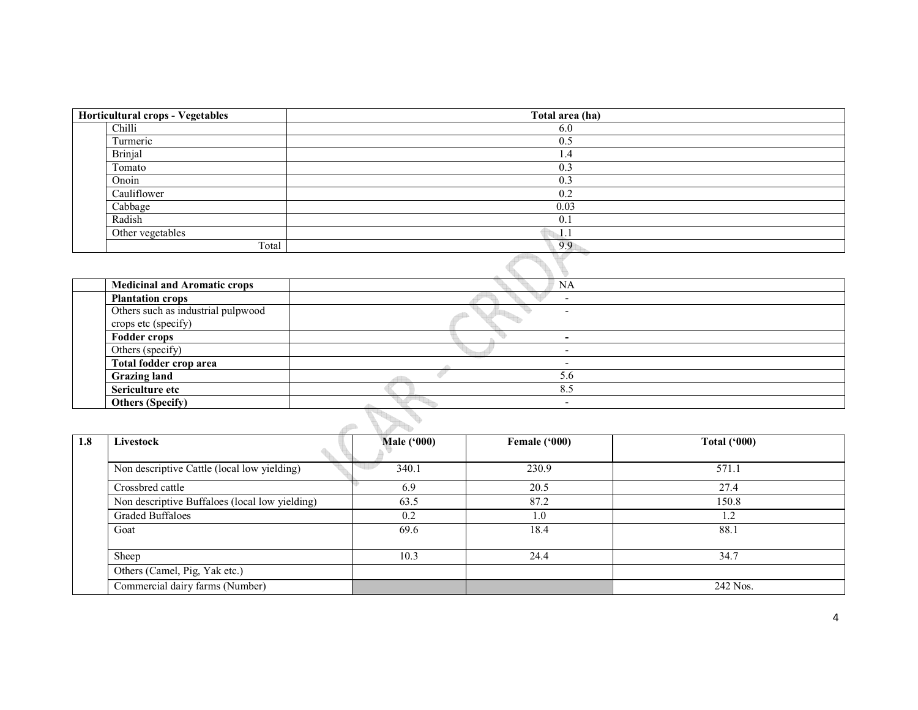| Horticultural crops - Vegetables | Total area (ha) |
|----------------------------------|-----------------|
| Chilli                           | 6.0             |
| Turmeric                         | 0.5             |
| Brinjal                          | 1.4             |
| Tomato                           | 0.3             |
| Onoin                            | 0.3             |
| Cauliflower                      | 0.2             |
| Cabbage                          | 0.03            |
| Radish                           | 0.1             |
| Other vegetables                 | 1.1             |
| Total                            | 9.9             |
|                                  |                 |

| <b>Medicinal and Aromatic crops</b>                       | <b>NA</b> |  |
|-----------------------------------------------------------|-----------|--|
| <b>Plantation crops</b>                                   |           |  |
| Others such as industrial pulpwood<br>crops etc (specify) |           |  |
| <b>Fodder crops</b>                                       |           |  |
| Others (specify)                                          |           |  |
| Total fodder crop area                                    |           |  |
| <b>Grazing land</b>                                       | 5.6       |  |
| Sericulture etc                                           | 8.5       |  |
| <b>Others (Specify)</b>                                   |           |  |
|                                                           |           |  |

| 1.8 | Livestock                                      | <b>Male ('000)</b> | Female ('000) | Total $(900)$ |
|-----|------------------------------------------------|--------------------|---------------|---------------|
|     |                                                |                    |               |               |
|     | Non descriptive Cattle (local low yielding)    | 340.1              | 230.9         | 571.1         |
|     | Crossbred cattle                               | 6.9                | 20.5          | 27.4          |
|     | Non descriptive Buffaloes (local low yielding) | 63.5               | 87.2          | 150.8         |
|     | Graded Buffaloes                               | 0.2                | 1.0           | 1.2           |
|     | Goat                                           | 69.6               | 18.4          | 88.1          |
|     |                                                |                    |               |               |
|     | Sheep                                          | 10.3               | 24.4          | 34.7          |
|     | Others (Camel, Pig, Yak etc.)                  |                    |               |               |
|     | Commercial dairy farms (Number)                |                    |               | 242 Nos.      |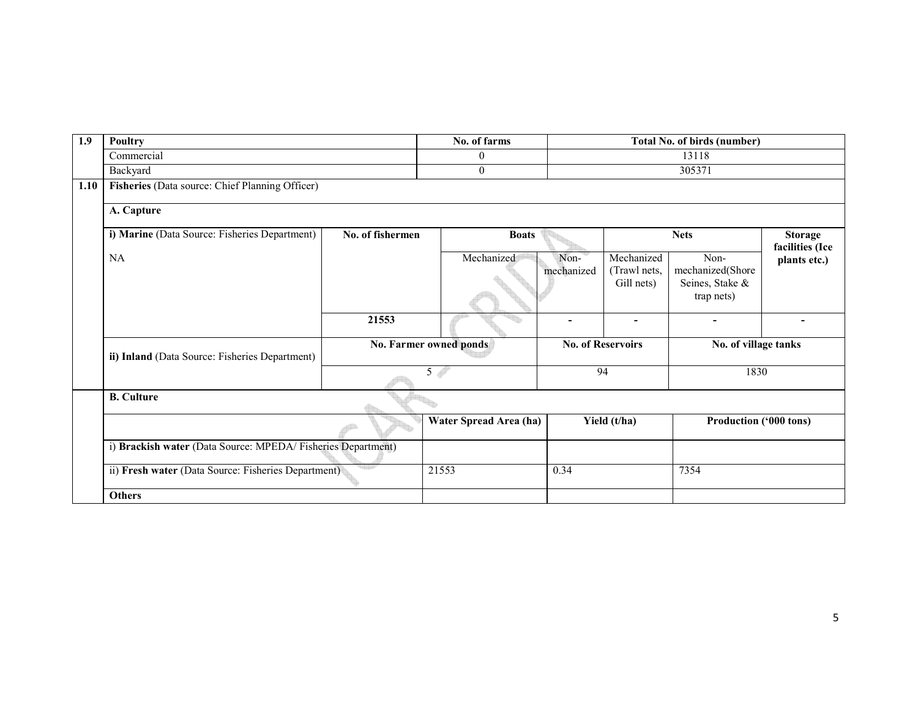| 1.9  | <b>Poultry</b>                                              |                        | No. of farms           |                          |                                          | <b>Total No. of birds (number)</b>          |                                   |
|------|-------------------------------------------------------------|------------------------|------------------------|--------------------------|------------------------------------------|---------------------------------------------|-----------------------------------|
|      | Commercial                                                  |                        | $\theta$               |                          |                                          | 13118                                       |                                   |
|      | Backyard                                                    |                        | $\mathbf{0}$           |                          |                                          | 305371                                      |                                   |
| 1.10 | Fisheries (Data source: Chief Planning Officer)             |                        |                        |                          |                                          |                                             |                                   |
|      | A. Capture                                                  |                        |                        |                          |                                          |                                             |                                   |
|      | i) Marine (Data Source: Fisheries Department)               | No. of fishermen       | <b>Boats</b>           |                          |                                          | <b>Nets</b>                                 | <b>Storage</b><br>facilities (Ice |
|      | NA                                                          |                        | Mechanized             | Non-<br>mechanized       | Mechanized<br>(Trawl nets,<br>Gill nets) | Non-<br>mechanized(Shore<br>Seines, Stake & | plants etc.)                      |
|      |                                                             |                        |                        |                          |                                          | trap nets)                                  |                                   |
|      |                                                             | 21553                  |                        |                          |                                          |                                             |                                   |
|      | ii) Inland (Data Source: Fisheries Department)              | No. Farmer owned ponds |                        | <b>No. of Reservoirs</b> |                                          | No. of village tanks                        |                                   |
|      |                                                             |                        | 5 <sup>4</sup>         |                          | 94                                       | 1830                                        |                                   |
|      | <b>B.</b> Culture                                           |                        |                        |                          |                                          |                                             |                                   |
|      |                                                             |                        | Water Spread Area (ha) |                          | Yield (t/ha)                             | Production ('000 tons)                      |                                   |
|      | i) Brackish water (Data Source: MPEDA/Fisheries Department) |                        |                        |                          |                                          |                                             |                                   |
|      | ii) Fresh water (Data Source: Fisheries Department)         |                        | 21553                  | 0.34                     |                                          | 7354                                        |                                   |
|      | <b>Others</b>                                               |                        |                        |                          |                                          |                                             |                                   |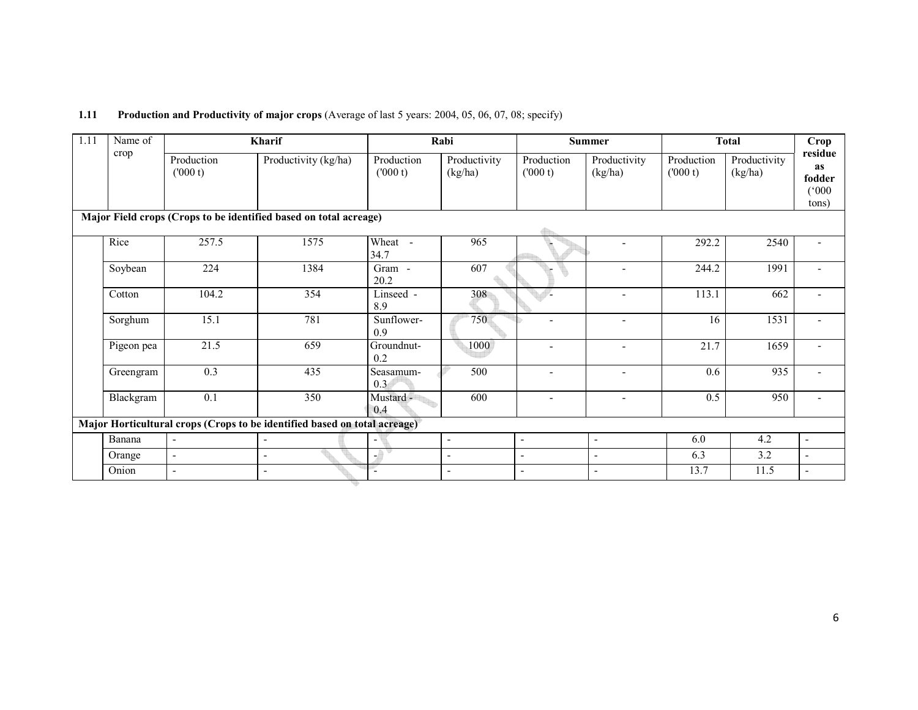| 1.11 | <b>Production and Productivity of major crops</b> (Average of last 5 years: 2004, 05, 06, 07, 08; specify) |  |
|------|------------------------------------------------------------------------------------------------------------|--|
|------|------------------------------------------------------------------------------------------------------------|--|

| 1.11 | Name of    |                          | Kharif                                                                    |                          | Rabi                     |                          | <b>Summer</b>            | <b>Total</b>           |                         | Crop                                             |
|------|------------|--------------------------|---------------------------------------------------------------------------|--------------------------|--------------------------|--------------------------|--------------------------|------------------------|-------------------------|--------------------------------------------------|
|      | crop       | Production<br>(000 t)    | Productivity (kg/ha)                                                      | Production<br>(000 t)    | Productivity<br>(kg/ha)  | Production<br>(1000 t)   | Productivity<br>(kg/ha)  | Production<br>(1000 t) | Productivity<br>(kg/ha) | residue<br><b>as</b><br>fodder<br>(000)<br>tons) |
|      |            |                          | Major Field crops (Crops to be identified based on total acreage)         |                          |                          |                          |                          |                        |                         |                                                  |
|      | Rice       | 257.5                    | 1575                                                                      | Wheat -<br>34.7          | 965                      |                          |                          | 292.2                  | 2540                    |                                                  |
|      | Soybean    | 224                      | 1384                                                                      | Gram -<br>20.2           | 607                      |                          | $\overline{\phantom{a}}$ | 244.2                  | 1991                    |                                                  |
|      | Cotton     | 104.2                    | 354                                                                       | Linseed -<br>8.9         | 308                      |                          | ۳                        | 113.1                  | 662                     |                                                  |
|      | Sorghum    | 15.1                     | 781                                                                       | Sunflower-<br>0.9        | 750                      | $\overline{\phantom{a}}$ | $\overline{\phantom{a}}$ | 16                     | 1531                    |                                                  |
|      | Pigeon pea | 21.5                     | 659                                                                       | Groundnut-<br>0.2        | 1000                     | $\overline{\phantom{a}}$ | $\blacksquare$           | 21.7                   | 1659                    |                                                  |
|      | Greengram  | 0.3                      | 435                                                                       | Seasamum-<br>0.3         | 500                      | $\blacksquare$           | $\blacksquare$           | 0.6                    | 935                     |                                                  |
|      | Blackgram  | 0.1                      | 350                                                                       | Mustard -<br>0.4         | 600                      | $\overline{\phantom{a}}$ | $\blacksquare$           | 0.5                    | 950                     |                                                  |
|      |            |                          | Major Horticultural crops (Crops to be identified based on total acreage) |                          |                          |                          |                          |                        |                         |                                                  |
|      | Banana     | $\overline{\phantom{0}}$ | $\sim$                                                                    | $\overline{\phantom{a}}$ | $\overline{\phantom{a}}$ | $\blacksquare$           | $\blacksquare$           | 6.0                    | 4.2                     | $\blacksquare$                                   |
|      | Orange     | $\blacksquare$           | $\overline{\phantom{a}}$                                                  | -9                       | $\overline{a}$           | $\sim$                   | $\overline{\phantom{a}}$ | 6.3                    | 3.2                     | $\overline{\phantom{a}}$                         |
|      | Onion      |                          |                                                                           |                          | $\blacksquare$           | $\overline{\phantom{a}}$ |                          | 13.7                   | 11.5                    |                                                  |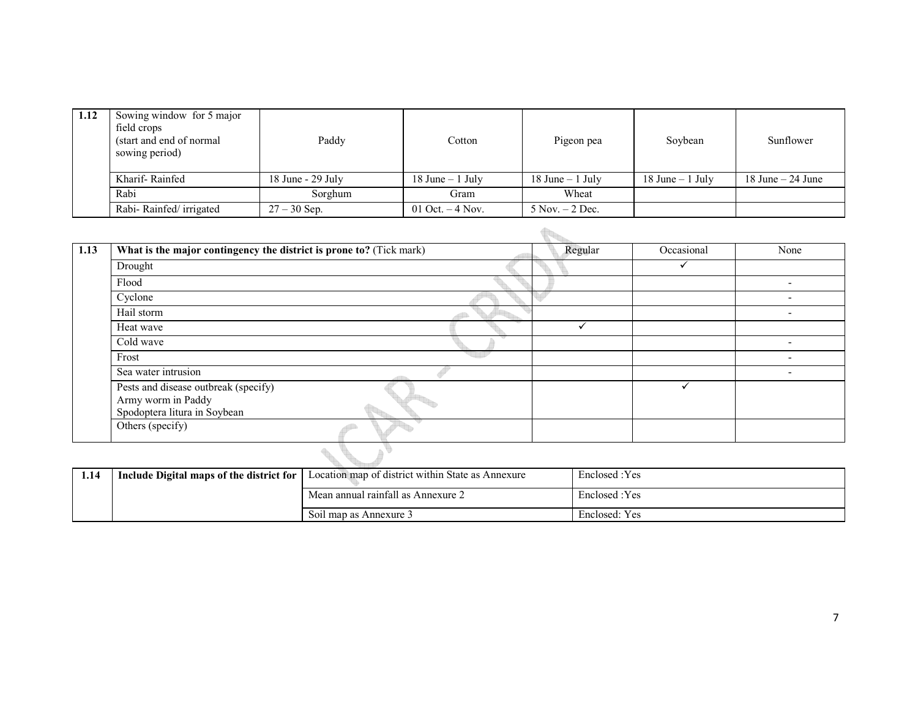| 1.12 | Sowing window for 5 major<br>field crops<br>(start and end of normal)<br>sowing period) | Paddy                 | Cotton              | Pigeon pea          | Soybean             | Sunflower            |
|------|-----------------------------------------------------------------------------------------|-----------------------|---------------------|---------------------|---------------------|----------------------|
|      | Kharif-Rainfed                                                                          | $18$ June - $29$ July | $18$ June $-1$ July | $18$ June $-1$ July | $18$ June $-1$ July | $18$ June $-24$ June |
|      | Rabi                                                                                    | Sorghum               | Gram                | Wheat               |                     |                      |
|      | Rabi-Rainfed/irrigated                                                                  | $27 - 30$ Sep.        | 01 Oct. $-4$ Nov.   | $5$ Nov. $-2$ Dec.  |                     |                      |

| 1.13 | What is the major contingency the district is prone to? (Tick mark)                        | Regular | Occasional | None |                          |
|------|--------------------------------------------------------------------------------------------|---------|------------|------|--------------------------|
|      | Drought                                                                                    |         |            |      |                          |
|      | Flood                                                                                      |         |            |      |                          |
|      | Cyclone                                                                                    |         |            |      | $\overline{\phantom{0}}$ |
|      | Hail storm                                                                                 |         |            |      | $\overline{\phantom{0}}$ |
|      | Heat wave                                                                                  |         |            |      |                          |
|      | Cold wave                                                                                  |         |            |      | $\overline{\phantom{0}}$ |
|      | Frost                                                                                      |         |            |      |                          |
|      | Sea water intrusion                                                                        |         |            |      | $\overline{\phantom{0}}$ |
|      | Pests and disease outbreak (specify)<br>Army worm in Paddy<br>Spodoptera litura in Soybean |         |            | ✓    |                          |
|      | Others (specify)                                                                           |         |            |      |                          |
|      |                                                                                            |         |            |      |                          |

| 1.14 | Include Digital maps of the district for | Location map of district within State as Annexure | Enclosed : Yes |
|------|------------------------------------------|---------------------------------------------------|----------------|
|      |                                          | Mean annual rainfall as Annexure 2                | Enclosed:Yes   |
|      |                                          | Soil map as Annexure 3                            | Enclosed: Yes  |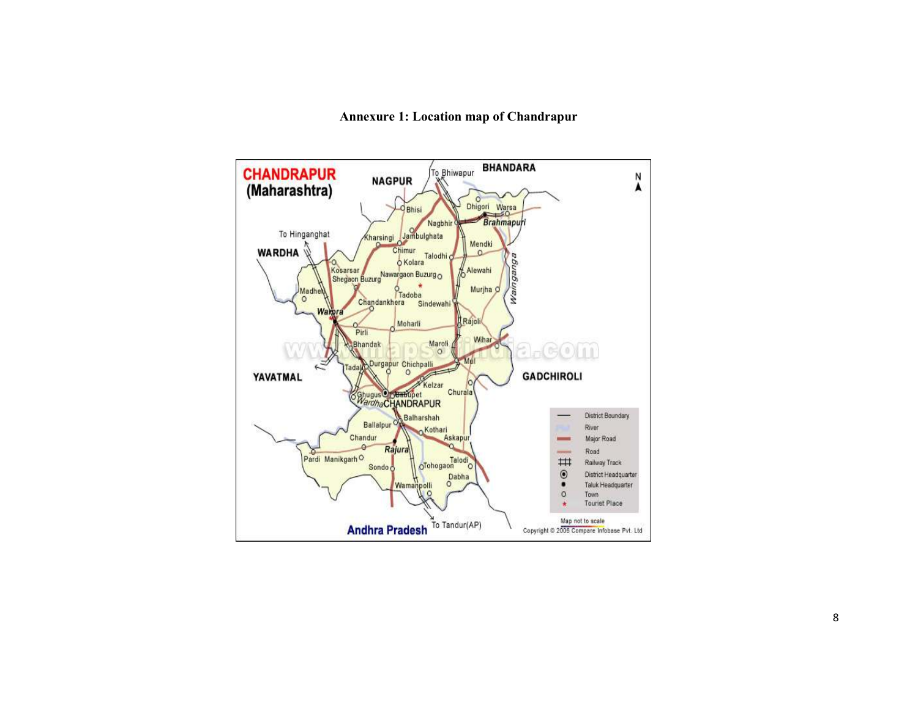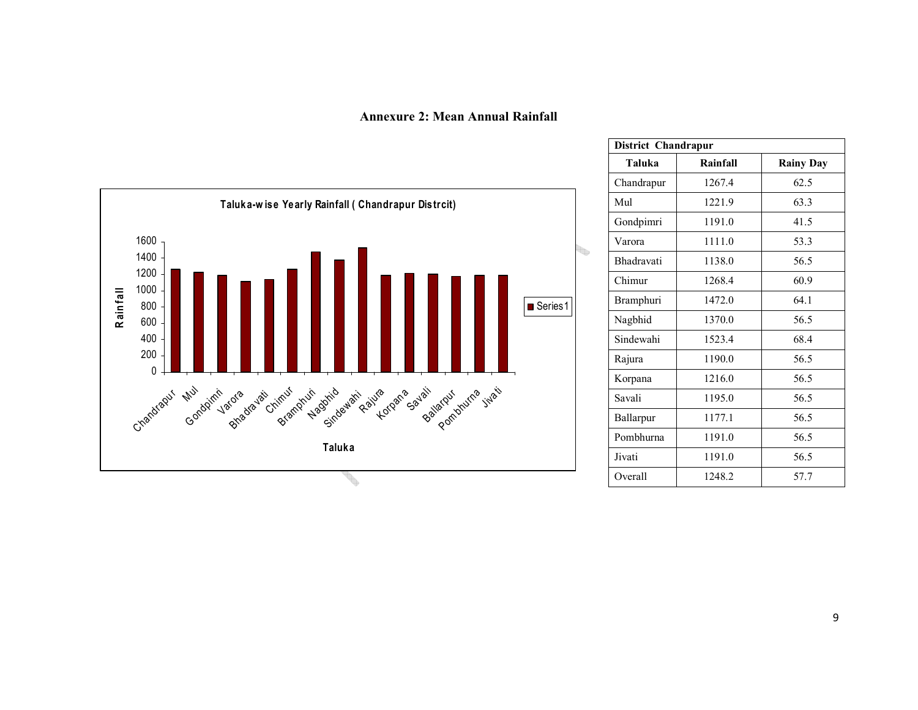Annexure 2: Mean Annual Rainfall



| District Chandrapur |          |                  |  |  |  |  |
|---------------------|----------|------------------|--|--|--|--|
| Taluka              | Rainfall | <b>Rainy Day</b> |  |  |  |  |
| Chandrapur          | 1267.4   | 62.5             |  |  |  |  |
| Mul                 | 1221.9   | 63.3             |  |  |  |  |
| Gondpimri           | 1191.0   | 41.5             |  |  |  |  |
| Varora              | 1111.0   | 53.3             |  |  |  |  |
| <b>Bhadravati</b>   | 1138.0   | 56.5             |  |  |  |  |
| Chimur              | 1268.4   | 60.9             |  |  |  |  |
| <b>Bramphuri</b>    | 1472.0   | 64.1             |  |  |  |  |
| Nagbhid             | 1370.0   | 56.5             |  |  |  |  |
| Sindewahi           | 1523.4   | 68.4             |  |  |  |  |
| Rajura              | 1190.0   | 56.5             |  |  |  |  |
| Korpana             | 1216.0   | 56.5             |  |  |  |  |
| Savali              | 1195.0   | 56.5             |  |  |  |  |
| Ballarpur           | 1177.1   | 56.5             |  |  |  |  |
| Pombhurna           | 1191.0   | 56.5             |  |  |  |  |
| Jivati              | 1191.0   | 56.5             |  |  |  |  |
| Overall             | 1248.2   | 57.7             |  |  |  |  |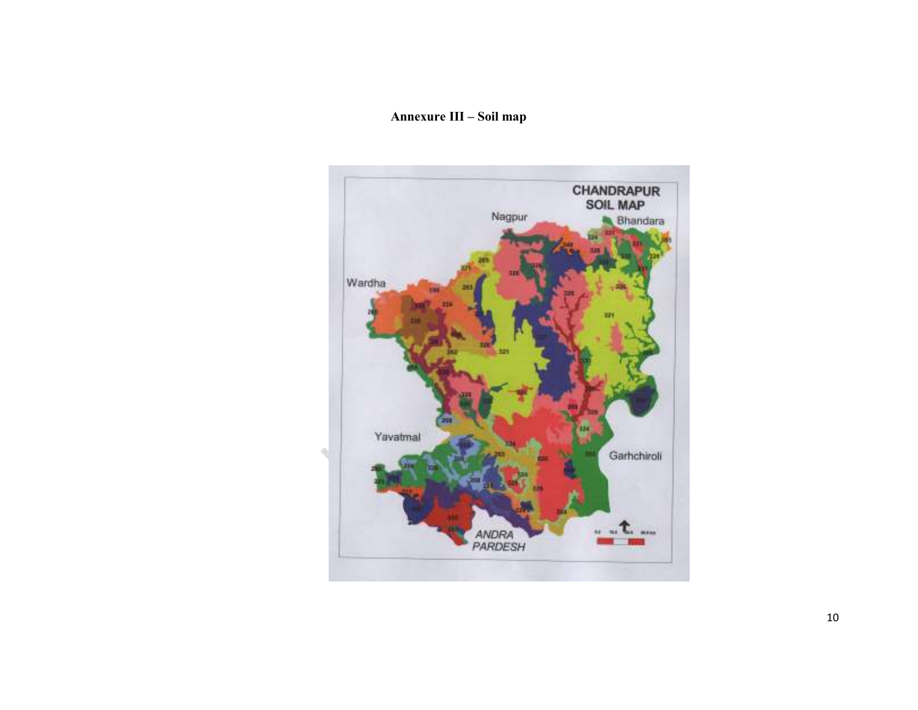## Annexure III – Soil map

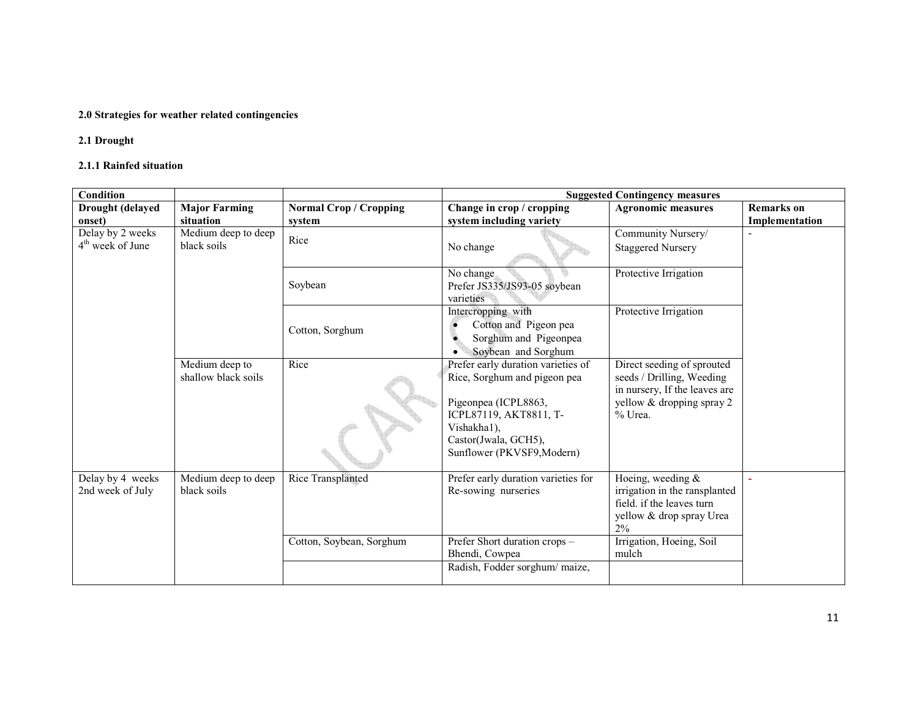## 2.0 Strategies for weather related contingencies

## 2.1 Drought

### 2.1.1 Rainfed situation

| <b>Condition</b>   |                      |                               | <b>Suggested Contingency measures</b>                     |                                   |                   |  |
|--------------------|----------------------|-------------------------------|-----------------------------------------------------------|-----------------------------------|-------------------|--|
| Drought (delayed   | <b>Major Farming</b> | <b>Normal Crop / Cropping</b> | Change in crop / cropping                                 | <b>Agronomic measures</b>         | <b>Remarks</b> on |  |
| onset)             | situation            | system                        | system including variety                                  |                                   | Implementation    |  |
| Delay by 2 weeks   | Medium deep to deep  | Rice                          |                                                           | Community Nursery/                |                   |  |
| $4th$ week of June | black soils          |                               | No change                                                 | <b>Staggered Nursery</b>          |                   |  |
|                    |                      | Soybean                       | No change<br>Prefer JS335/JS93-05 soybean<br>varieties    | Protective Irrigation             |                   |  |
|                    |                      |                               | Intercropping with                                        | Protective Irrigation             |                   |  |
|                    |                      | Cotton, Sorghum               | Cotton and Pigeon pea                                     |                                   |                   |  |
|                    |                      |                               | Sorghum and Pigeonpea                                     |                                   |                   |  |
|                    | Medium deep to       | Rice                          | Soybean and Sorghum<br>Prefer early duration varieties of | Direct seeding of sprouted        |                   |  |
|                    | shallow black soils  |                               | Rice, Sorghum and pigeon pea                              | seeds / Drilling, Weeding         |                   |  |
|                    |                      |                               |                                                           | in nursery, If the leaves are     |                   |  |
|                    |                      |                               | Pigeonpea (ICPL8863,                                      | yellow & dropping spray 2         |                   |  |
|                    |                      |                               | ICPL87119, AKT8811, T-                                    | % Urea.                           |                   |  |
|                    |                      |                               | Vishakha1),                                               |                                   |                   |  |
|                    |                      |                               | Castor(Jwala, GCH5),                                      |                                   |                   |  |
|                    |                      |                               | Sunflower (PKVSF9, Modern)                                |                                   |                   |  |
| Delay by 4 weeks   | Medium deep to deep  | Rice Transplanted             | Prefer early duration varieties for                       | Hoeing, weeding $&$               |                   |  |
| 2nd week of July   | black soils          |                               | Re-sowing nurseries                                       | irrigation in the ransplanted     |                   |  |
|                    |                      |                               |                                                           | field. if the leaves turn         |                   |  |
|                    |                      |                               |                                                           | yellow & drop spray Urea<br>$2\%$ |                   |  |
|                    |                      | Cotton, Soybean, Sorghum      | Prefer Short duration crops -                             | Irrigation, Hoeing, Soil          |                   |  |
|                    |                      |                               | Bhendi, Cowpea                                            | mulch                             |                   |  |
|                    |                      |                               | Radish, Fodder sorghum/maize,                             |                                   |                   |  |
|                    |                      |                               |                                                           |                                   |                   |  |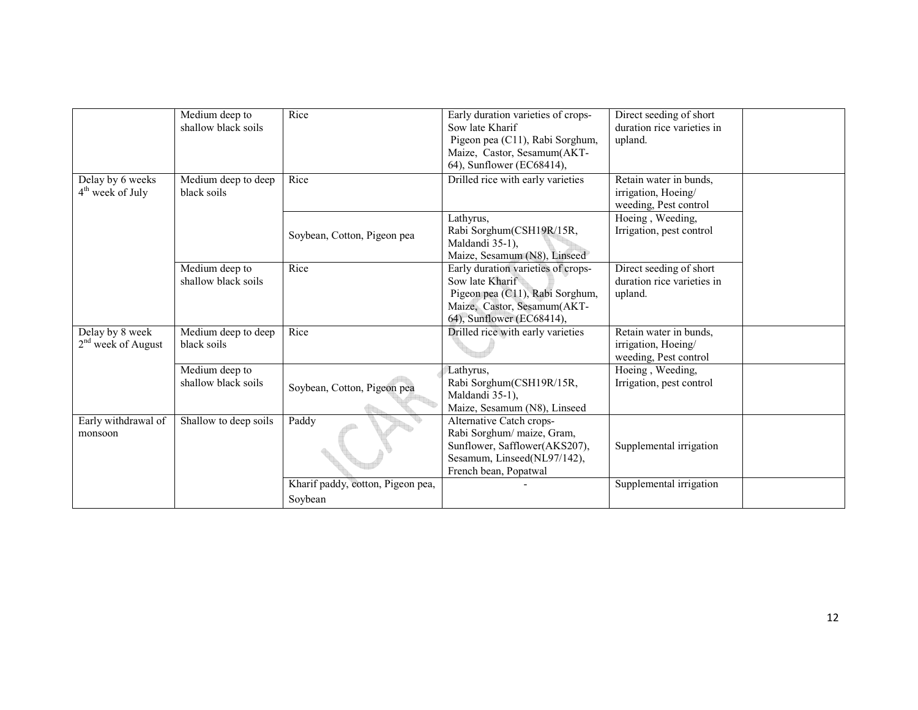|                                                  | Medium deep to<br>shallow black soils | Rice                                         | Early duration varieties of crops-<br>Sow late Kharif<br>Pigeon pea (C11), Rabi Sorghum,<br>Maize, Castor, Sesamum(AKT-<br>64), Sunflower (EC68414), | Direct seeding of short<br>duration rice varieties in<br>upland.       |  |
|--------------------------------------------------|---------------------------------------|----------------------------------------------|------------------------------------------------------------------------------------------------------------------------------------------------------|------------------------------------------------------------------------|--|
| Delay by 6 weeks<br>4 <sup>th</sup> week of July | Medium deep to deep<br>black soils    | Rice                                         | Drilled rice with early varieties                                                                                                                    | Retain water in bunds,<br>irrigation, Hoeing/<br>weeding, Pest control |  |
|                                                  |                                       | Soybean, Cotton, Pigeon pea                  | Lathyrus,<br>Rabi Sorghum(CSH19R/15R,<br>Maldandi 35-1),<br>Maize, Sesamum (N8), Linseed                                                             | Hoeing, Weeding,<br>Irrigation, pest control                           |  |
|                                                  | Medium deep to<br>shallow black soils | Rice                                         | Early duration varieties of crops-<br>Sow late Kharif<br>Pigeon pea (C11), Rabi Sorghum,<br>Maize, Castor, Sesamum(AKT-<br>64), Sunflower (EC68414), | Direct seeding of short<br>duration rice varieties in<br>upland.       |  |
| Delay by 8 week<br>$2nd$ week of August          | Medium deep to deep<br>black soils    | Rice                                         | Drilled rice with early varieties                                                                                                                    | Retain water in bunds,<br>irrigation, Hoeing/<br>weeding, Pest control |  |
|                                                  | Medium deep to<br>shallow black soils | Soybean, Cotton, Pigeon pea                  | Lathyrus,<br>Rabi Sorghum(CSH19R/15R,<br>Maldandi 35-1),<br>Maize, Sesamum (N8), Linseed                                                             | Hoeing, Weeding,<br>Irrigation, pest control                           |  |
| Early withdrawal of<br>monsoon                   | Shallow to deep soils                 | Paddy                                        | Alternative Catch crops-<br>Rabi Sorghum/ maize, Gram,<br>Sunflower, Safflower(AKS207),<br>Sesamum, Linseed(NL97/142),<br>French bean, Popatwal      | Supplemental irrigation                                                |  |
|                                                  |                                       | Kharif paddy, cotton, Pigeon pea,<br>Soybean |                                                                                                                                                      | Supplemental irrigation                                                |  |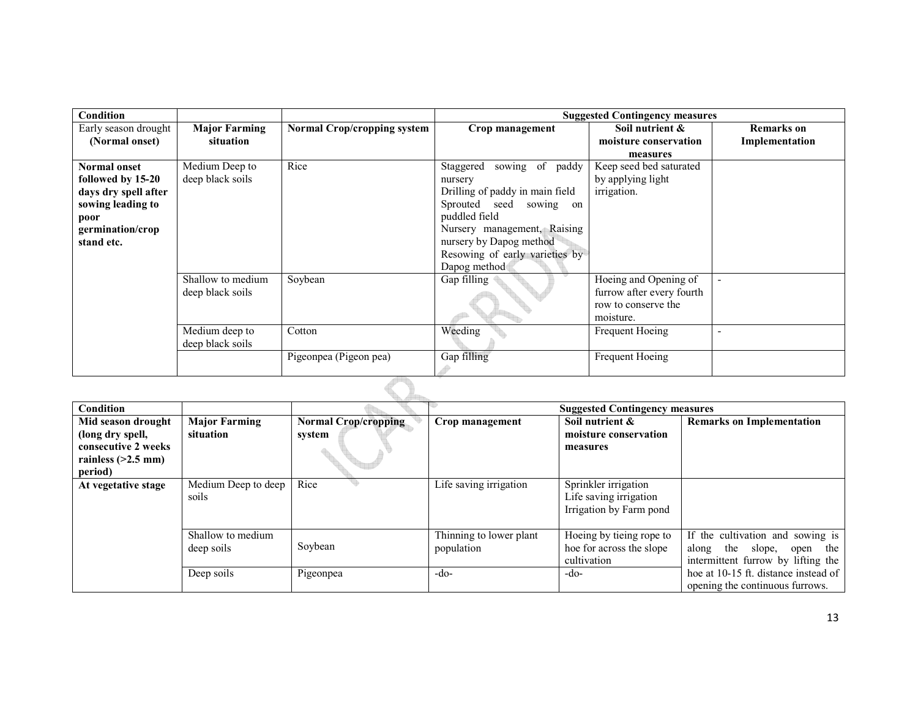| Condition            |                      |                                    |                                 | <b>Suggested Contingency measures</b> |                   |  |  |
|----------------------|----------------------|------------------------------------|---------------------------------|---------------------------------------|-------------------|--|--|
| Early season drought | <b>Major Farming</b> | <b>Normal Crop/cropping system</b> | Crop management                 | Soil nutrient &                       | <b>Remarks</b> on |  |  |
| (Normal onset)       | situation            |                                    |                                 | moisture conservation                 | Implementation    |  |  |
|                      |                      |                                    |                                 | measures                              |                   |  |  |
| <b>Normal onset</b>  | Medium Deep to       | Rice                               | sowing of paddy<br>Staggered    | Keep seed bed saturated               |                   |  |  |
| followed by 15-20    | deep black soils     |                                    | nursery                         | by applying light                     |                   |  |  |
| days dry spell after |                      |                                    | Drilling of paddy in main field | irrigation.                           |                   |  |  |
| sowing leading to    |                      |                                    | Sprouted seed sowing on         |                                       |                   |  |  |
| poor                 |                      |                                    | puddled field                   |                                       |                   |  |  |
| germination/crop     |                      |                                    | Nursery management, Raising     |                                       |                   |  |  |
| stand etc.           |                      |                                    | nursery by Dapog method         |                                       |                   |  |  |
|                      |                      |                                    | Resowing of early varieties by  |                                       |                   |  |  |
|                      |                      |                                    | Dapog method                    |                                       |                   |  |  |
|                      | Shallow to medium    | Soybean                            | Gap filling                     | Hoeing and Opening of                 |                   |  |  |
|                      | deep black soils     |                                    |                                 | furrow after every fourth             |                   |  |  |
|                      |                      |                                    |                                 | row to conserve the                   |                   |  |  |
|                      |                      |                                    |                                 | moisture.                             |                   |  |  |
|                      | Medium deep to       | Cotton                             | Weeding                         | Frequent Hoeing                       | $\blacksquare$    |  |  |
|                      | deep black soils     |                                    |                                 |                                       |                   |  |  |
|                      |                      | Pigeonpea (Pigeon pea)             | Gap filling                     | Frequent Hoeing                       |                   |  |  |
|                      |                      |                                    |                                 |                                       |                   |  |  |
|                      |                      |                                    |                                 |                                       |                   |  |  |

| Condition            |                                 |                             |                                       | <b>Suggested Contingency measures</b>                                     |                                                                                                              |  |
|----------------------|---------------------------------|-----------------------------|---------------------------------------|---------------------------------------------------------------------------|--------------------------------------------------------------------------------------------------------------|--|
| Mid season drought   | <b>Major Farming</b>            | <b>Normal Crop/cropping</b> | Crop management                       | Soil nutrient &                                                           | <b>Remarks on Implementation</b>                                                                             |  |
| (long dry spell,     | situation                       | system                      |                                       | moisture conservation                                                     |                                                                                                              |  |
| consecutive 2 weeks  |                                 |                             |                                       | measures                                                                  |                                                                                                              |  |
| rainless $(>2.5$ mm) |                                 |                             |                                       |                                                                           |                                                                                                              |  |
| period)              |                                 |                             |                                       |                                                                           |                                                                                                              |  |
| At vegetative stage  | Medium Deep to deep<br>soils    | Rice                        | Life saving irrigation                | Sprinkler irrigation<br>Life saving irrigation<br>Irrigation by Farm pond |                                                                                                              |  |
|                      | Shallow to medium<br>deep soils | Soybean                     | Thinning to lower plant<br>population | Hoeing by tieing rope to<br>hoe for across the slope<br>cultivation       | If the cultivation and sowing is<br>the slope,<br>the<br>along<br>open<br>intermittent furrow by lifting the |  |
|                      | Deep soils                      | Pigeonpea                   | $-do-$                                | $-do-$                                                                    | hoe at 10-15 ft. distance instead of<br>opening the continuous furrows.                                      |  |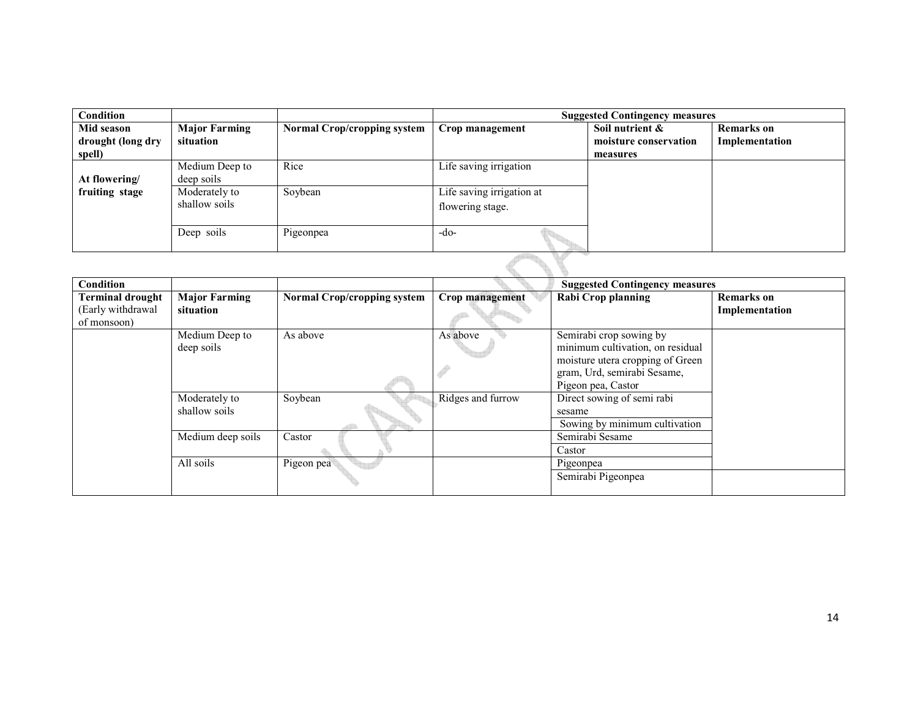| Condition         |                      |                                    |                           | <b>Suggested Contingency measures</b> |                   |
|-------------------|----------------------|------------------------------------|---------------------------|---------------------------------------|-------------------|
| Mid season        | <b>Major Farming</b> | <b>Normal Crop/cropping system</b> | Crop management           | Soil nutrient &                       | <b>Remarks</b> on |
| drought (long dry | situation            |                                    |                           | moisture conservation                 | Implementation    |
| spell)            |                      |                                    |                           | measures                              |                   |
|                   | Medium Deep to       | Rice                               | Life saving irrigation    |                                       |                   |
| At flowering/     | deep soils           |                                    |                           |                                       |                   |
| fruiting stage    | Moderately to        | Soybean                            | Life saving irrigation at |                                       |                   |
|                   | shallow soils        |                                    | flowering stage.          |                                       |                   |
|                   |                      |                                    |                           |                                       |                   |
|                   | Deep soils           | Pigeonpea                          | -do-                      |                                       |                   |
|                   |                      |                                    |                           |                                       |                   |
|                   |                      |                                    |                           |                                       |                   |
|                   |                      |                                    |                           |                                       |                   |

| <b>Condition</b>                 |                                |                                    |                   | <b>Suggested Contingency measures</b>                                                                                                                |                   |
|----------------------------------|--------------------------------|------------------------------------|-------------------|------------------------------------------------------------------------------------------------------------------------------------------------------|-------------------|
| <b>Terminal drought</b>          | <b>Major Farming</b>           | <b>Normal Crop/cropping system</b> | Crop management   | <b>Rabi Crop planning</b>                                                                                                                            | <b>Remarks</b> on |
| (Early withdrawal<br>of monsoon) | situation                      |                                    |                   |                                                                                                                                                      | Implementation    |
|                                  | Medium Deep to<br>deep soils   | As above                           | As above          | Semirabi crop sowing by<br>minimum cultivation, on residual<br>moisture utera cropping of Green<br>gram, Urd, semirabi Sesame,<br>Pigeon pea, Castor |                   |
|                                  | Moderately to<br>shallow soils | Soybean                            | Ridges and furrow | Direct sowing of semi rabi<br>sesame<br>Sowing by minimum cultivation                                                                                |                   |
|                                  | Medium deep soils<br>All soils | Castor<br>Pigeon pea               |                   | Semirabi Sesame<br>Castor<br>Pigeonpea                                                                                                               |                   |
|                                  |                                |                                    |                   | Semirabi Pigeonpea                                                                                                                                   |                   |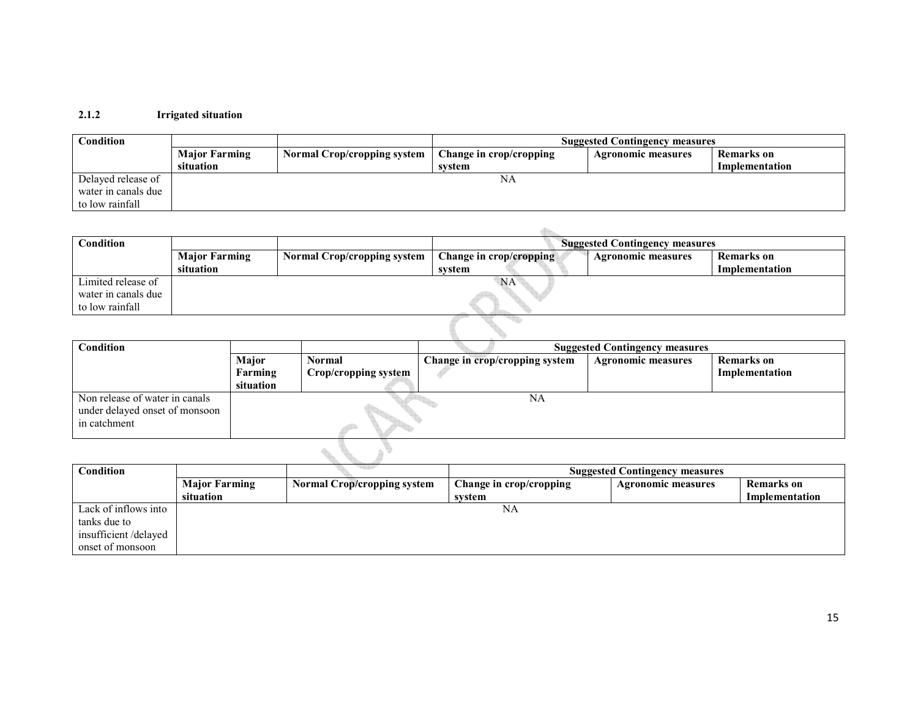## 2.1.2 Irrigated situation

| $\mathop{\mathrm{Condition}}$ |                      |                                    | <b>Suggested Contingency measures</b> |                           |                |  |
|-------------------------------|----------------------|------------------------------------|---------------------------------------|---------------------------|----------------|--|
|                               | <b>Major Farming</b> | <b>Normal Crop/cropping system</b> | Change in crop/cropping               | <b>Agronomic measures</b> | Remarks on     |  |
|                               | situation            |                                    | svstem                                |                           | Implementation |  |
| Delayed release of            |                      |                                    | NA                                    |                           |                |  |
| water in canals due           |                      |                                    |                                       |                           |                |  |
| to low rainfall               |                      |                                    |                                       |                           |                |  |

| Condition                                                    |                      |                                    | <b>Suggested Contingency measures</b> |                           |                |  |
|--------------------------------------------------------------|----------------------|------------------------------------|---------------------------------------|---------------------------|----------------|--|
|                                                              | <b>Major Farming</b> | <b>Normal Crop/cropping system</b> | Change in crop/cropping               | <b>Agronomic measures</b> | Remarks on     |  |
|                                                              | situation            |                                    | system                                |                           | Implementation |  |
| Limited release of<br>water in canals due<br>to low rainfall | NA <sup>®</sup>      |                                    |                                       |                           |                |  |
|                                                              |                      |                                    |                                       |                           |                |  |

| <b>Condition</b>                                                                 |                               | <b>Suggested Contingency measures</b> |                                |                           |                                     |
|----------------------------------------------------------------------------------|-------------------------------|---------------------------------------|--------------------------------|---------------------------|-------------------------------------|
|                                                                                  | Major<br>Farming<br>situation | <b>Normal</b><br>Crop/cropping system | Change in crop/cropping system | <b>Agronomic measures</b> | <b>Remarks</b> on<br>Implementation |
| Non release of water in canals<br>under delayed onset of monsoon<br>in catchment |                               |                                       | NA                             |                           |                                     |
|                                                                                  |                               |                                       |                                |                           |                                     |

| Condition            |                      |                                    |                         | <b>Suggested Contingency measures</b> |                   |
|----------------------|----------------------|------------------------------------|-------------------------|---------------------------------------|-------------------|
|                      | <b>Major Farming</b> | <b>Normal Crop/cropping system</b> | Change in crop/cropping | <b>Agronomic measures</b>             | <b>Remarks</b> on |
|                      | situation            |                                    | svstem                  |                                       | Implementation    |
| Lack of inflows into |                      |                                    | NA                      |                                       |                   |
| tanks due to         |                      |                                    |                         |                                       |                   |
| insufficient/delayed |                      |                                    |                         |                                       |                   |
| onset of monsoon     |                      |                                    |                         |                                       |                   |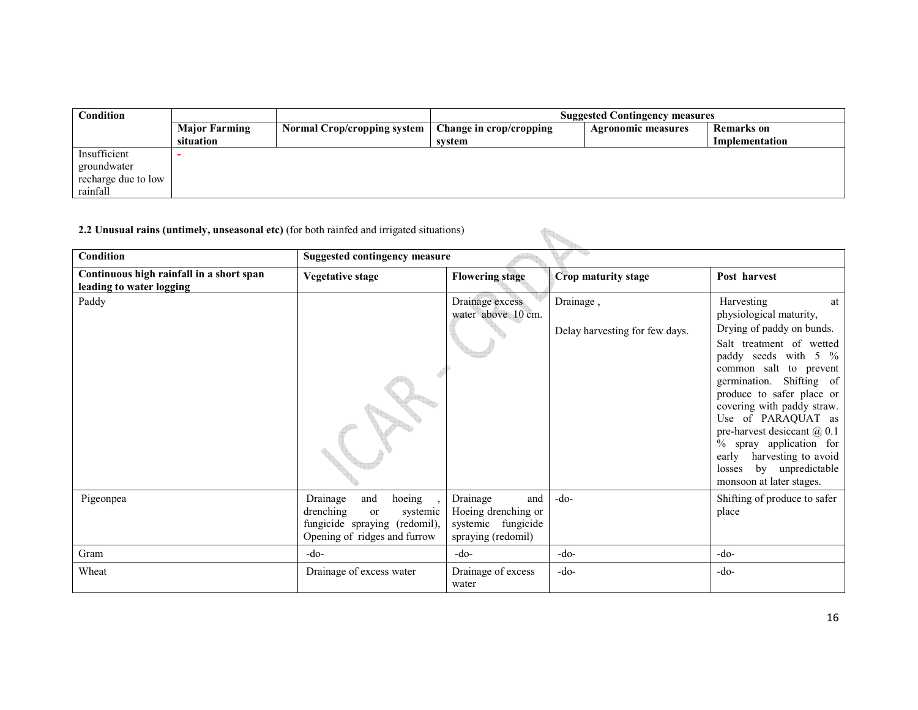| Condition           |                      |                                    | <b>Suggested Contingency measures</b> |                           |                   |
|---------------------|----------------------|------------------------------------|---------------------------------------|---------------------------|-------------------|
|                     | <b>Major Farming</b> | <b>Normal Crop/cropping system</b> | Change in crop/cropping               | <b>Agronomic measures</b> | <b>Remarks</b> on |
|                     | situation            |                                    | system                                |                           | Implementation    |
| Insufficient        |                      |                                    |                                       |                           |                   |
| groundwater         |                      |                                    |                                       |                           |                   |
| recharge due to low |                      |                                    |                                       |                           |                   |
| rainfall            |                      |                                    |                                       |                           |                   |

#### 2.2 Unusual rains (untimely, unseasonal etc) (for both rainfed and irrigated situations)

| 2.2 Unusual rains (untimely, unseasonal etc) (for both rainfed and irrigated situations) |                                                                                                                           |                                                                                    |                                |                                                                                                                                                                                                                                                                                                                                                                                 |  |
|------------------------------------------------------------------------------------------|---------------------------------------------------------------------------------------------------------------------------|------------------------------------------------------------------------------------|--------------------------------|---------------------------------------------------------------------------------------------------------------------------------------------------------------------------------------------------------------------------------------------------------------------------------------------------------------------------------------------------------------------------------|--|
| Condition                                                                                | <b>Suggested contingency measure</b>                                                                                      |                                                                                    |                                |                                                                                                                                                                                                                                                                                                                                                                                 |  |
| Continuous high rainfall in a short span<br>leading to water logging                     | Vegetative stage                                                                                                          | <b>Flowering stage</b>                                                             | Crop maturity stage            | Post harvest                                                                                                                                                                                                                                                                                                                                                                    |  |
| Paddy                                                                                    |                                                                                                                           | Drainage excess<br>water above 10 cm.                                              | Drainage,                      | Harvesting<br>at<br>physiological maturity,                                                                                                                                                                                                                                                                                                                                     |  |
|                                                                                          |                                                                                                                           |                                                                                    | Delay harvesting for few days. | Drying of paddy on bunds.<br>Salt treatment of wetted<br>paddy seeds with 5 %<br>common salt to prevent<br>germination. Shifting of<br>produce to safer place or<br>covering with paddy straw.<br>Use of PARAQUAT as<br>pre-harvest desiccant $\omega$ 0.1<br>% spray application for<br>harvesting to avoid<br>early<br>by unpredictable<br>losses<br>monsoon at later stages. |  |
| Pigeonpea                                                                                | hoeing<br>Drainage<br>and<br>drenching<br>or<br>systemic<br>fungicide spraying (redomil),<br>Opening of ridges and furrow | Drainage<br>and<br>Hoeing drenching or<br>systemic fungicide<br>spraying (redomil) | $-do-$                         | Shifting of produce to safer<br>place                                                                                                                                                                                                                                                                                                                                           |  |
| Gram                                                                                     | $-do-$                                                                                                                    | $-do-$                                                                             | $-do-$                         | $-do-$                                                                                                                                                                                                                                                                                                                                                                          |  |
| Wheat                                                                                    | Drainage of excess water                                                                                                  | Drainage of excess<br>water                                                        | $-do-$                         | $-do-$                                                                                                                                                                                                                                                                                                                                                                          |  |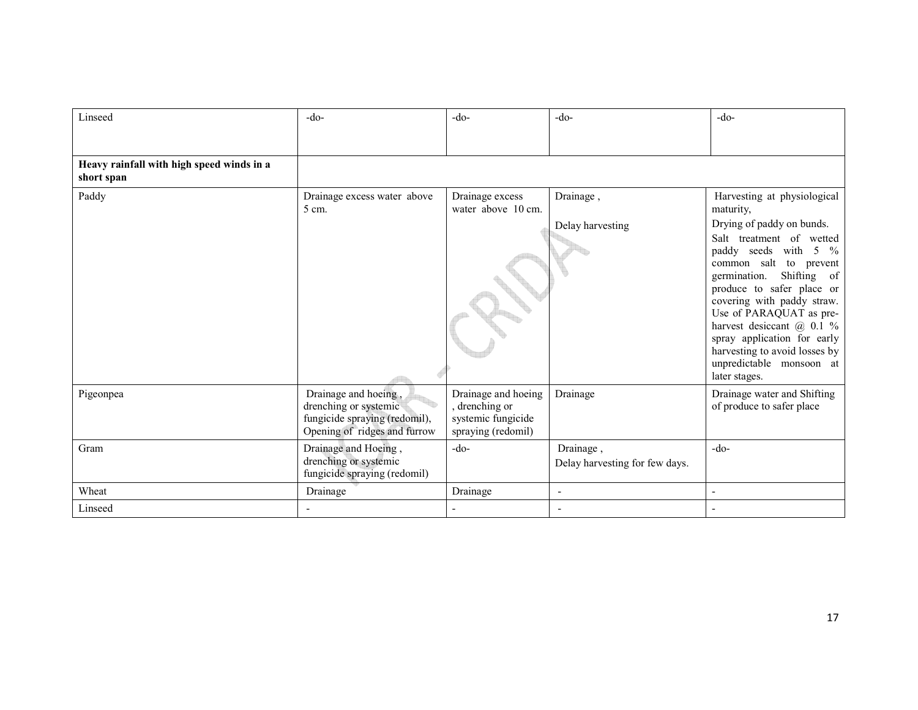| Linseed                                                 | $-do-$                                                                                                         | $-do-$                                                                            | $-do-$                                      | $-do-$                                                                                                                                                                                                                                                                                                                                                                                                                                 |
|---------------------------------------------------------|----------------------------------------------------------------------------------------------------------------|-----------------------------------------------------------------------------------|---------------------------------------------|----------------------------------------------------------------------------------------------------------------------------------------------------------------------------------------------------------------------------------------------------------------------------------------------------------------------------------------------------------------------------------------------------------------------------------------|
| Heavy rainfall with high speed winds in a<br>short span |                                                                                                                |                                                                                   |                                             |                                                                                                                                                                                                                                                                                                                                                                                                                                        |
| Paddy                                                   | Drainage excess water above<br>5 cm.                                                                           | Drainage excess<br>water above 10 cm.                                             | Drainage,<br>Delay harvesting               | Harvesting at physiological<br>maturity,<br>Drying of paddy on bunds.<br>Salt treatment of wetted<br>paddy seeds with<br>5 $\%$<br>common salt to prevent<br>Shifting<br>germination.<br><sub>of</sub><br>produce to safer place or<br>covering with paddy straw.<br>Use of PARAQUAT as pre-<br>harvest desiccant @ 0.1 %<br>spray application for early<br>harvesting to avoid losses by<br>unpredictable monsoon at<br>later stages. |
| Pigeonpea                                               | Drainage and hoeing,<br>drenching or systemic<br>fungicide spraying (redomil),<br>Opening of ridges and furrow | Drainage and hoeing<br>, drenching or<br>systemic fungicide<br>spraying (redomil) | Drainage                                    | Drainage water and Shifting<br>of produce to safer place                                                                                                                                                                                                                                                                                                                                                                               |
| Gram                                                    | Drainage and Hoeing,<br>drenching or systemic<br>fungicide spraying (redomil)                                  | $-do-$                                                                            | Drainage,<br>Delay harvesting for few days. | $-do-$                                                                                                                                                                                                                                                                                                                                                                                                                                 |
| Wheat                                                   | Drainage                                                                                                       | Drainage                                                                          | ٠                                           |                                                                                                                                                                                                                                                                                                                                                                                                                                        |
| Linseed                                                 |                                                                                                                |                                                                                   |                                             |                                                                                                                                                                                                                                                                                                                                                                                                                                        |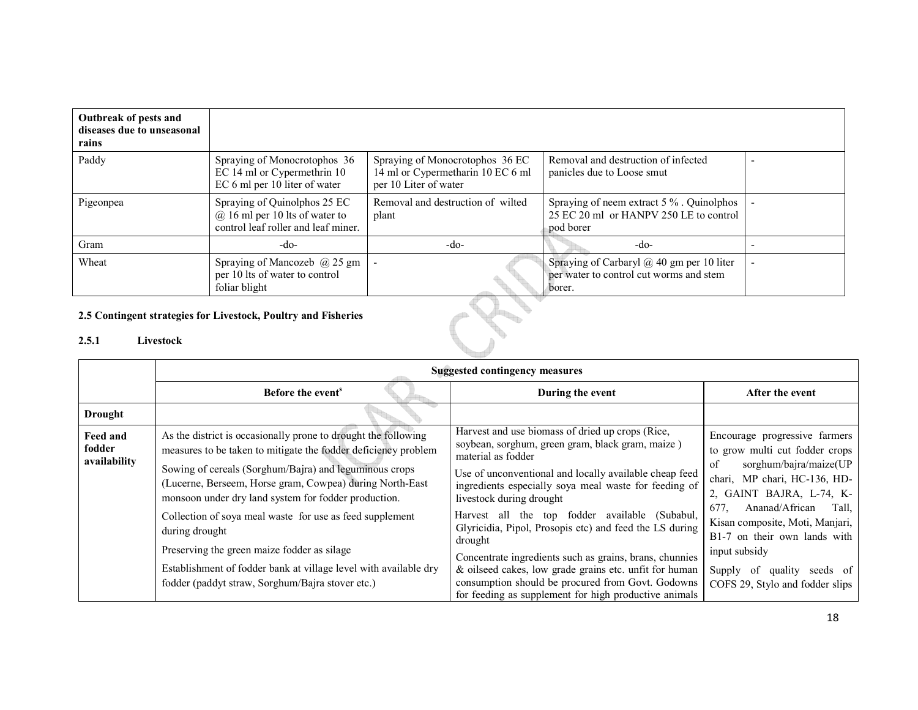| Outbreak of pests and<br>diseases due to unseasonal<br>rains |                                                                                                           |                                                                                               |                                                                                                 |  |
|--------------------------------------------------------------|-----------------------------------------------------------------------------------------------------------|-----------------------------------------------------------------------------------------------|-------------------------------------------------------------------------------------------------|--|
| Paddy                                                        | Spraying of Monocrotophos 36<br>EC 14 ml or Cypermethrin 10<br>EC 6 ml per 10 liter of water              | Spraying of Monocrotophos 36 EC<br>14 ml or Cypermetharin 10 EC 6 ml<br>per 10 Liter of water | Removal and destruction of infected<br>panicles due to Loose smut                               |  |
| Pigeonpea                                                    | Spraying of Quinolphos 25 EC<br>$(a)$ 16 ml per 10 lts of water to<br>control leaf roller and leaf miner. | Removal and destruction of wilted<br>plant                                                    | Spraying of neem extract 5 %. Quinolphos<br>25 EC 20 ml or HANPV 250 LE to control<br>pod borer |  |
| Gram                                                         | -do-                                                                                                      | $-do-$                                                                                        | -do-                                                                                            |  |
| Wheat                                                        | Spraying of Mancozeb $(a)$ 25 gm<br>per 10 lts of water to control<br>foliar blight                       |                                                                                               | Spraying of Carbaryl @ 40 gm per 10 liter<br>per water to control cut worms and stem<br>borer.  |  |
|                                                              | 25 Contingent strategies for Livesteely, Poultry and Fisheries                                            |                                                                                               |                                                                                                 |  |

## 2.5 Contingent strategies for Livestock, Poultry and Fisheries

## 2.5.1 Livestock

|                                    | <b>Suggested contingency measures</b>                                                                                                                                                                                                                                                                                                                                                                                                                                                                                                                               |                                                                                                                                                                                                                                                                                                                                                                                                                                                                                                                                                                                                                                      |                                                                                                                                                                                                                                                                                                                                                        |  |  |
|------------------------------------|---------------------------------------------------------------------------------------------------------------------------------------------------------------------------------------------------------------------------------------------------------------------------------------------------------------------------------------------------------------------------------------------------------------------------------------------------------------------------------------------------------------------------------------------------------------------|--------------------------------------------------------------------------------------------------------------------------------------------------------------------------------------------------------------------------------------------------------------------------------------------------------------------------------------------------------------------------------------------------------------------------------------------------------------------------------------------------------------------------------------------------------------------------------------------------------------------------------------|--------------------------------------------------------------------------------------------------------------------------------------------------------------------------------------------------------------------------------------------------------------------------------------------------------------------------------------------------------|--|--|
|                                    | Before the event <sup>s</sup>                                                                                                                                                                                                                                                                                                                                                                                                                                                                                                                                       | During the event                                                                                                                                                                                                                                                                                                                                                                                                                                                                                                                                                                                                                     | After the event                                                                                                                                                                                                                                                                                                                                        |  |  |
| <b>Drought</b>                     |                                                                                                                                                                                                                                                                                                                                                                                                                                                                                                                                                                     |                                                                                                                                                                                                                                                                                                                                                                                                                                                                                                                                                                                                                                      |                                                                                                                                                                                                                                                                                                                                                        |  |  |
| Feed and<br>fodder<br>availability | As the district is occasionally prone to drought the following<br>measures to be taken to mitigate the fodder deficiency problem<br>Sowing of cereals (Sorghum/Bajra) and leguminous crops<br>(Lucerne, Berseem, Horse gram, Cowpea) during North-East<br>monsoon under dry land system for fodder production.<br>Collection of soya meal waste for use as feed supplement<br>during drought<br>Preserving the green maize fodder as silage<br>Establishment of fodder bank at village level with available dry<br>fodder (paddyt straw, Sorghum/Bajra stover etc.) | Harvest and use biomass of dried up crops (Rice,<br>soybean, sorghum, green gram, black gram, maize)<br>material as fodder<br>Use of unconventional and locally available cheap feed<br>ingredients especially soya meal waste for feeding of<br>livestock during drought<br>Harvest all the top fodder available (Subabul,<br>Glyricidia, Pipol, Prosopis etc) and feed the LS during<br>drought<br>Concentrate ingredients such as grains, brans, chunnies<br>& oilseed cakes, low grade grains etc. unfit for human<br>consumption should be procured from Govt. Godowns<br>for feeding as supplement for high productive animals | Encourage progressive farmers<br>to grow multi cut fodder crops<br>sorghum/bajra/maize(UP<br>of<br>chari, MP chari, HC-136, HD-<br>2, GAINT BAJRA, L-74, K-<br>Ananad/African<br>677.<br>Tall.<br>Kisan composite, Moti, Manjari,<br>B1-7 on their own lands with<br>input subsidy<br>Supply of<br>quality seeds of<br>COFS 29, Stylo and fodder slips |  |  |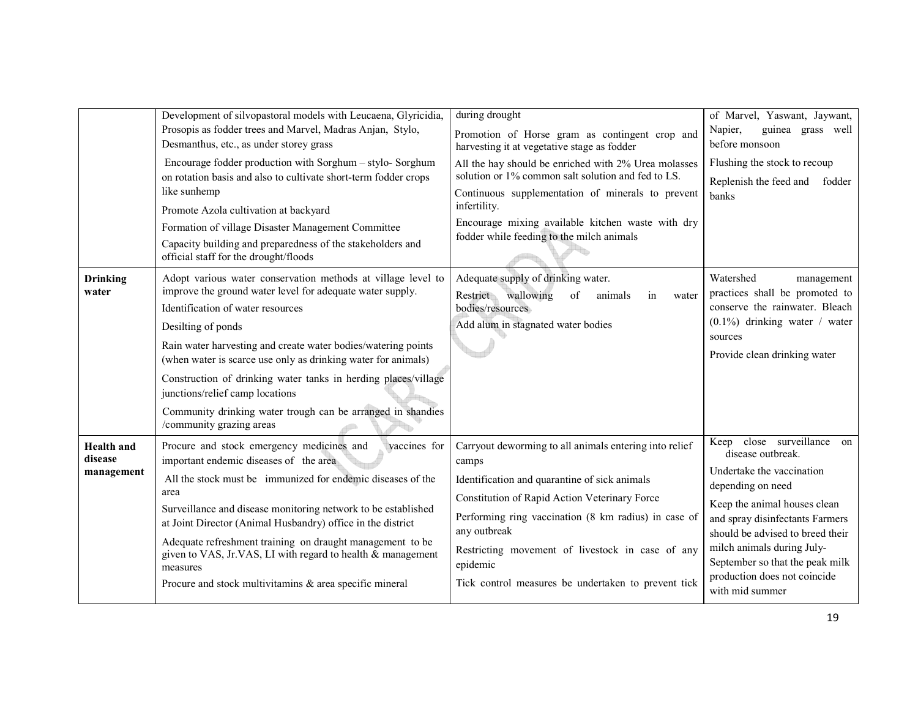|                                            | Development of silvopastoral models with Leucaena, Glyricidia,<br>Prosopis as fodder trees and Marvel, Madras Anjan, Stylo,                                                                                                                                                                                                                                                                                                                                                                                            | during drought                                                                                                                                                                                                                                                                                                                                                   | of Marvel, Yaswant, Jaywant,<br>Napier,<br>guinea grass well                                                                                                                                                                                                                                                                 |
|--------------------------------------------|------------------------------------------------------------------------------------------------------------------------------------------------------------------------------------------------------------------------------------------------------------------------------------------------------------------------------------------------------------------------------------------------------------------------------------------------------------------------------------------------------------------------|------------------------------------------------------------------------------------------------------------------------------------------------------------------------------------------------------------------------------------------------------------------------------------------------------------------------------------------------------------------|------------------------------------------------------------------------------------------------------------------------------------------------------------------------------------------------------------------------------------------------------------------------------------------------------------------------------|
|                                            | Desmanthus, etc., as under storey grass                                                                                                                                                                                                                                                                                                                                                                                                                                                                                | Promotion of Horse gram as contingent crop and<br>harvesting it at vegetative stage as fodder                                                                                                                                                                                                                                                                    | before monsoon                                                                                                                                                                                                                                                                                                               |
|                                            | Encourage fodder production with Sorghum - stylo- Sorghum<br>on rotation basis and also to cultivate short-term fodder crops<br>like sunhemp<br>Promote Azola cultivation at backyard<br>Formation of village Disaster Management Committee<br>Capacity building and preparedness of the stakeholders and<br>official staff for the drought/floods                                                                                                                                                                     | All the hay should be enriched with 2% Urea molasses<br>solution or 1% common salt solution and fed to LS.<br>Continuous supplementation of minerals to prevent<br>infertility.<br>Encourage mixing available kitchen waste with dry<br>fodder while feeding to the milch animals                                                                                | Flushing the stock to recoup<br>Replenish the feed and fodder<br>banks                                                                                                                                                                                                                                                       |
| <b>Drinking</b><br>water                   | Adopt various water conservation methods at village level to<br>improve the ground water level for adequate water supply.<br>Identification of water resources<br>Desilting of ponds<br>Rain water harvesting and create water bodies/watering points<br>(when water is scarce use only as drinking water for animals)<br>Construction of drinking water tanks in herding places/village<br>junctions/relief camp locations<br>Community drinking water trough can be arranged in shandies<br>/community grazing areas | Adequate supply of drinking water.<br>wallowing<br>Restrict<br>of<br>animals<br>in<br>water<br>bodies/resources<br>Add alum in stagnated water bodies                                                                                                                                                                                                            | Watershed<br>management<br>practices shall be promoted to<br>conserve the rainwater. Bleach<br>$(0.1\%)$ drinking water / water<br>sources<br>Provide clean drinking water                                                                                                                                                   |
| <b>Health</b> and<br>disease<br>management | Procure and stock emergency medicines and<br>vaccines for<br>important endemic diseases of the area<br>All the stock must be immunized for endemic diseases of the<br>area<br>Surveillance and disease monitoring network to be established<br>at Joint Director (Animal Husbandry) office in the district<br>Adequate refreshment training on draught management to be<br>given to VAS, Jr.VAS, LI with regard to health & management<br>measures<br>Procure and stock multivitamins & area specific mineral          | Carryout deworming to all animals entering into relief<br>camps<br>Identification and quarantine of sick animals<br>Constitution of Rapid Action Veterinary Force<br>Performing ring vaccination (8 km radius) in case of<br>any outbreak<br>Restricting movement of livestock in case of any<br>epidemic<br>Tick control measures be undertaken to prevent tick | Keep close surveillance on<br>disease outbreak.<br>Undertake the vaccination<br>depending on need<br>Keep the animal houses clean<br>and spray disinfectants Farmers<br>should be advised to breed their<br>milch animals during July-<br>September so that the peak milk<br>production does not coincide<br>with mid summer |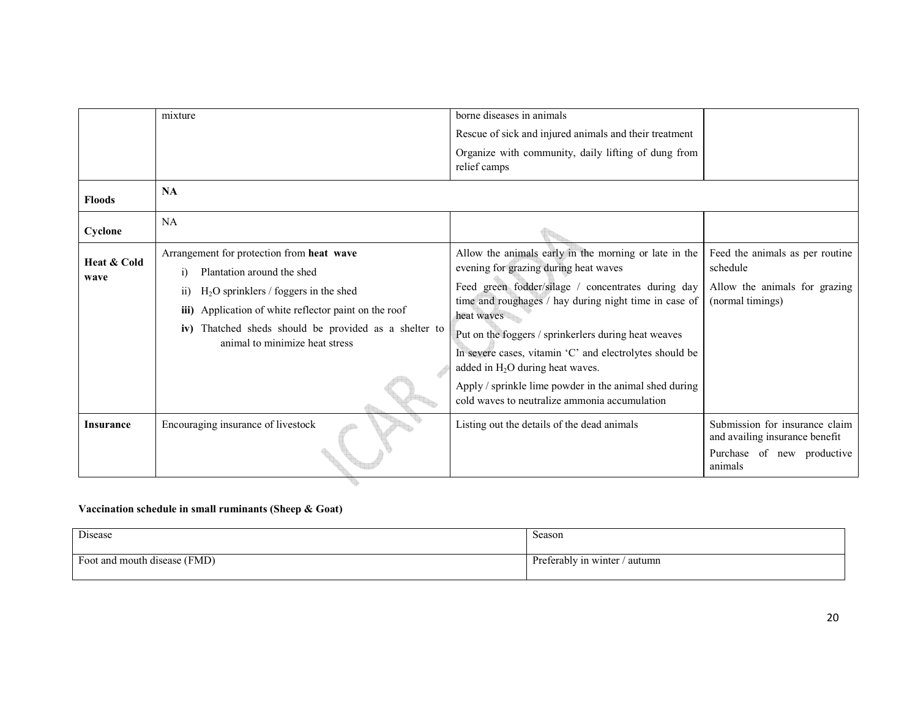| Rescue of sick and injured animals and their treatment<br>Organize with community, daily lifting of dung from                                                             |  |
|---------------------------------------------------------------------------------------------------------------------------------------------------------------------------|--|
|                                                                                                                                                                           |  |
| relief camps                                                                                                                                                              |  |
| NA<br><b>Floods</b>                                                                                                                                                       |  |
| <b>NA</b><br>Cyclone                                                                                                                                                      |  |
| Allow the animals early in the morning or late in the<br>Arrangement for protection from heat wave<br>Feed the animals as per routine<br>Heat & Cold                      |  |
| evening for grazing during heat waves<br>schedule<br>Plantation around the shed<br>$\ddot{1}$<br>wave                                                                     |  |
| Feed green fodder/silage / concentrates during day<br>Allow the animals for grazing<br>$H2O$ sprinklers / foggers in the shed<br>$\overline{11}$                          |  |
| time and roughages / hay during night time in case of<br>(normal timings)<br>Application of white reflector paint on the roof<br>iii)<br>heat waves                       |  |
| iv) Thatched sheds should be provided as a shelter to<br>Put on the foggers / sprinkerlers during heat weaves                                                             |  |
| animal to minimize heat stress<br>In severe cases, vitamin 'C' and electrolytes should be                                                                                 |  |
| added in $H_2O$ during heat waves.                                                                                                                                        |  |
| Apply / sprinkle lime powder in the animal shed during                                                                                                                    |  |
| cold waves to neutralize ammonia accumulation                                                                                                                             |  |
| Submission for insurance claim<br>Encouraging insurance of livestock<br>Listing out the details of the dead animals<br><b>Insurance</b><br>and availing insurance benefit |  |
| Purchase of new productive<br>animals                                                                                                                                     |  |

### Vaccination schedule in small ruminants (Sheep & Goat)

| Disease                      | Season                 |
|------------------------------|------------------------|
| Foot and mouth disease (FMD) | Preferably in winter / |
|                              | ' autumn               |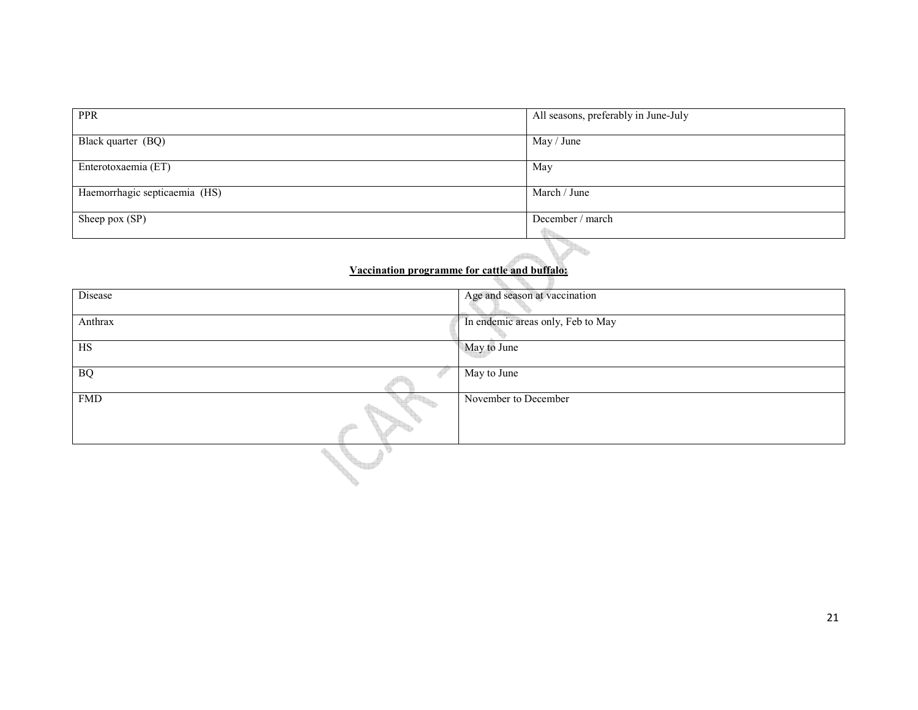| PPR                           | All seasons, preferably in June-July |
|-------------------------------|--------------------------------------|
| Black quarter (BQ)            | May / June                           |
| Enterotoxaemia (ET)           | May                                  |
| Haemorrhagic septicaemia (HS) | March / June                         |
| Sheep pox (SP)                | December / march                     |

## Vaccination programme for cattle and buffalo:

| Disease    | Age and season at vaccination     |
|------------|-----------------------------------|
| Anthrax    | In endemic areas only, Feb to May |
| HS         | May to June                       |
| $\rm{BQ}$  | May to June                       |
| <b>FMD</b> | November to December              |
|            |                                   |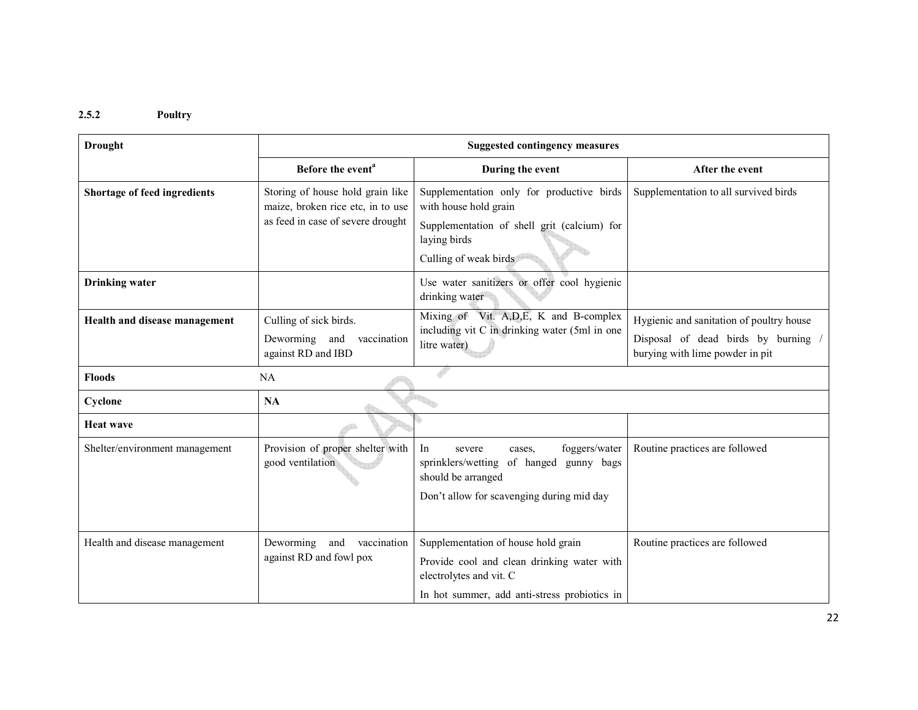#### 2.5.2 Poultry

| <b>Drought</b>                 | <b>Suggested contingency measures</b>                                           |                                                                                                                                                              |                                                                                                                  |  |  |
|--------------------------------|---------------------------------------------------------------------------------|--------------------------------------------------------------------------------------------------------------------------------------------------------------|------------------------------------------------------------------------------------------------------------------|--|--|
|                                | Before the event <sup>a</sup>                                                   | During the event                                                                                                                                             | After the event                                                                                                  |  |  |
| Shortage of feed ingredients   | Storing of house hold grain like<br>maize, broken rice etc, in to use           | Supplementation only for productive birds<br>with house hold grain                                                                                           | Supplementation to all survived birds                                                                            |  |  |
|                                | as feed in case of severe drought                                               | Supplementation of shell grit (calcium) for<br>laying birds<br>Culling of weak birds                                                                         |                                                                                                                  |  |  |
| <b>Drinking</b> water          |                                                                                 | Use water sanitizers or offer cool hygienic<br>drinking water                                                                                                |                                                                                                                  |  |  |
| Health and disease management  | Culling of sick birds.<br>Deworming<br>and<br>vaccination<br>against RD and IBD | Mixing of Vit. A, D, E, K and B-complex<br>including vit C in drinking water (5ml in one<br>litre water)                                                     | Hygienic and sanitation of poultry house<br>Disposal of dead birds by burning<br>burying with lime powder in pit |  |  |
| NA<br><b>Floods</b>            |                                                                                 |                                                                                                                                                              |                                                                                                                  |  |  |
| Cyclone                        | <b>NA</b>                                                                       |                                                                                                                                                              |                                                                                                                  |  |  |
| <b>Heat wave</b>               |                                                                                 |                                                                                                                                                              |                                                                                                                  |  |  |
| Shelter/environment management | Provision of proper shelter with<br>good ventilation                            | foggers/water<br>In<br>severe<br>cases.<br>sprinklers/wetting<br>of hanged<br>gunny bags<br>should be arranged<br>Don't allow for scavenging during mid day  | Routine practices are followed                                                                                   |  |  |
| Health and disease management  | Deworming<br>vaccination<br>and<br>against RD and fowl pox                      | Supplementation of house hold grain<br>Provide cool and clean drinking water with<br>electrolytes and vit. C<br>In hot summer, add anti-stress probiotics in | Routine practices are followed                                                                                   |  |  |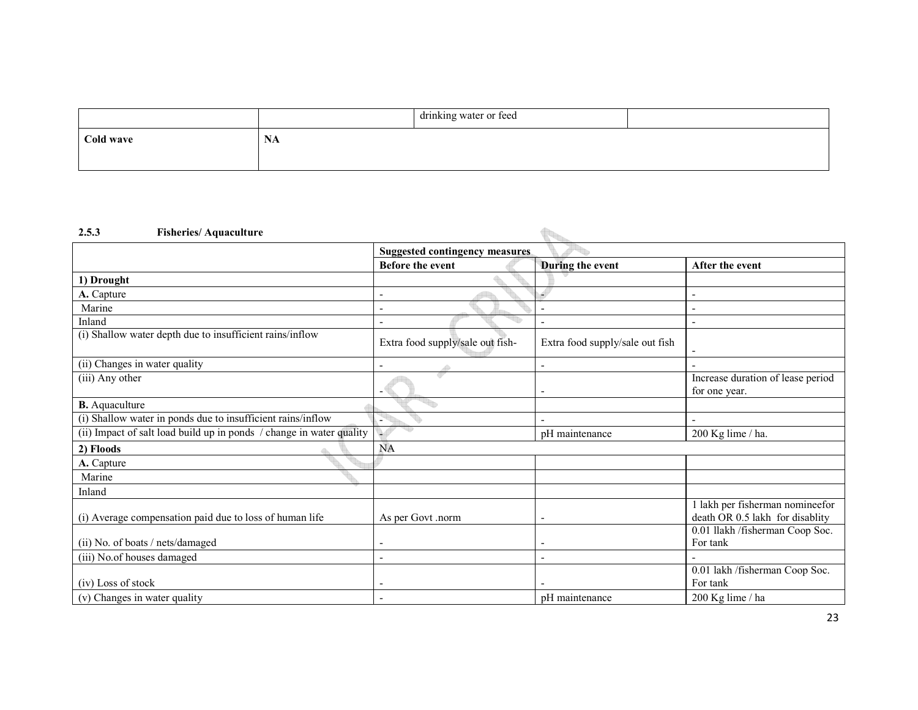|           |                        | drinking water or feed |  |
|-----------|------------------------|------------------------|--|
| Cold wave | <b>BT</b><br>ъ.<br>IVA |                        |  |
|           |                        |                        |  |

#### 2.5.3 Fisheries/ Aquaculture

| <b>Fisheries/Aquaculture</b><br>2.5.3                                |                                       |                                 |                                                                  |  |
|----------------------------------------------------------------------|---------------------------------------|---------------------------------|------------------------------------------------------------------|--|
|                                                                      | <b>Suggested contingency measures</b> |                                 |                                                                  |  |
|                                                                      | Before the event                      | During the event                | After the event                                                  |  |
| 1) Drought                                                           |                                       |                                 |                                                                  |  |
| A. Capture                                                           |                                       |                                 | $\overline{\phantom{a}}$                                         |  |
| Marine                                                               |                                       |                                 | $\overline{\phantom{a}}$                                         |  |
| Inland                                                               |                                       |                                 | $\overline{\phantom{a}}$                                         |  |
| (i) Shallow water depth due to insufficient rains/inflow             | Extra food supply/sale out fish-      | Extra food supply/sale out fish |                                                                  |  |
| (ii) Changes in water quality                                        |                                       |                                 |                                                                  |  |
| (iii) Any other                                                      |                                       | $\overline{\phantom{a}}$        | Increase duration of lease period<br>for one year.               |  |
| <b>B.</b> Aquaculture                                                |                                       |                                 |                                                                  |  |
| (i) Shallow water in ponds due to insufficient rains/inflow          |                                       |                                 | $\sim$                                                           |  |
| (ii) Impact of salt load build up in ponds / change in water quality |                                       | pH maintenance                  | 200 Kg lime / ha.                                                |  |
| 2) Floods                                                            | <b>NA</b>                             |                                 |                                                                  |  |
| A. Capture                                                           |                                       |                                 |                                                                  |  |
| Marine                                                               |                                       |                                 |                                                                  |  |
| Inland                                                               |                                       |                                 |                                                                  |  |
| (i) Average compensation paid due to loss of human life              | As per Govt .norm                     |                                 | lakh per fisherman nomineefor<br>death OR 0.5 lakh for disablity |  |
| (ii) No. of boats / nets/damaged                                     |                                       |                                 | 0.01 llakh /fisherman Coop Soc.<br>For tank                      |  |
| (iii) No.of houses damaged                                           |                                       |                                 |                                                                  |  |
| (iv) Loss of stock                                                   |                                       |                                 | 0.01 lakh /fisherman Coop Soc.<br>For tank                       |  |
| (v) Changes in water quality                                         |                                       | pH maintenance                  | 200 Kg lime / ha                                                 |  |